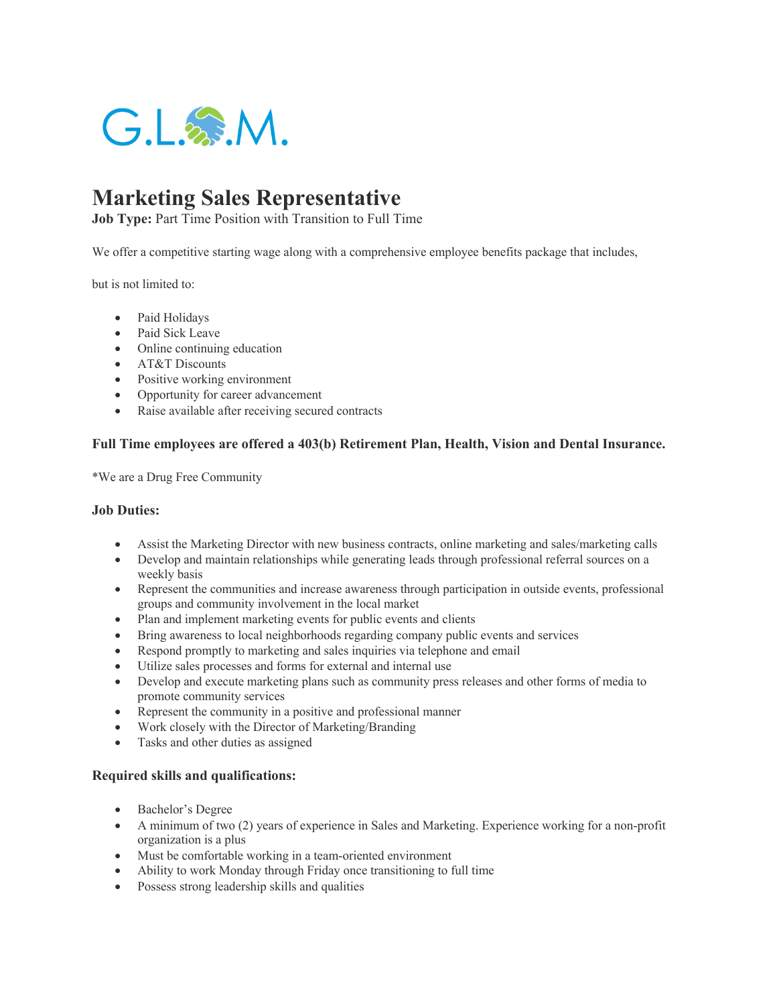

# **Marketing Sales Representative**

**Job Type: Part Time Position with Transition to Full Time** 

We offer a competitive starting wage along with a comprehensive employee benefits package that includes,

but is not limited to:

- Paid Holidays
- Paid Sick Leave
- Online continuing education
- AT&T Discounts
- Positive working environment
- Opportunity for career advancement
- Raise available after receiving secured contracts

### **Full Time employees are offered a 403(b) Retirement Plan, Health, Vision and Dental Insurance.**

\*We are a Drug Free Community

### **Job Duties:**

- Assist the Marketing Director with new business contracts, online marketing and sales/marketing calls
- Develop and maintain relationships while generating leads through professional referral sources on a weekly basis
- Represent the communities and increase awareness through participation in outside events, professional groups and community involvement in the local market
- Plan and implement marketing events for public events and clients
- Bring awareness to local neighborhoods regarding company public events and services
- Respond promptly to marketing and sales inquiries via telephone and email
- Utilize sales processes and forms for external and internal use
- Develop and execute marketing plans such as community press releases and other forms of media to promote community services
- Represent the community in a positive and professional manner
- Work closely with the Director of Marketing/Branding
- Tasks and other duties as assigned

### **Required skills and qualifications:**

- Bachelor's Degree
- A minimum of two (2) years of experience in Sales and Marketing. Experience working for a non-profit organization is a plus
- Must be comfortable working in a team-oriented environment
- Ability to work Monday through Friday once transitioning to full time
- Possess strong leadership skills and qualities